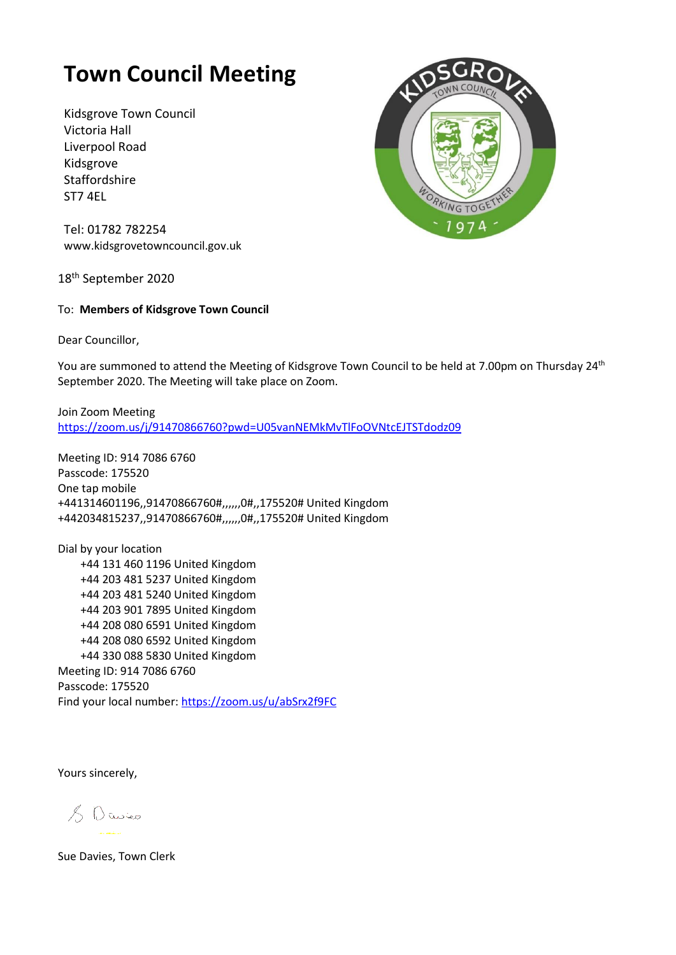## **Town Council Meeting**

Kidsgrove Town Council Victoria Hall Liverpool Road Kidsgrove Staffordshire ST7 4EL



Tel: 01782 782254 [www.kidsgrovetowncouncil.gov.uk](http://www.kidsgrovetowncouncil.gov.uk/)

18<sup>th</sup> September 2020

## To: **Members of Kidsgrove Town Council**

Dear Councillor,

You are summoned to attend the Meeting of Kidsgrove Town Council to be held at 7.00pm on Thursday 24<sup>th</sup> September 2020. The Meeting will take place on Zoom.

Join Zoom Meeting <https://zoom.us/j/91470866760?pwd=U05vanNEMkMvTlFoOVNtcEJTSTdodz09>

Meeting ID: 914 7086 6760 Passcode: 175520 One tap mobile +441314601196,,91470866760#,,,,,,0#,,175520# United Kingdom +442034815237,,91470866760#,,,,,,0#,,175520# United Kingdom

Dial by your location +44 131 460 1196 United Kingdom +44 203 481 5237 United Kingdom +44 203 481 5240 United Kingdom +44 203 901 7895 United Kingdom +44 208 080 6591 United Kingdom +44 208 080 6592 United Kingdom +44 330 088 5830 United Kingdom Meeting ID: 914 7086 6760 Passcode: 175520 Find your local number[: https://zoom.us/u/abSrx2f9FC](https://zoom.us/u/abSrx2f9FC)

Yours sincerely,

 $80$  Cwico

Sue Davies, Town Clerk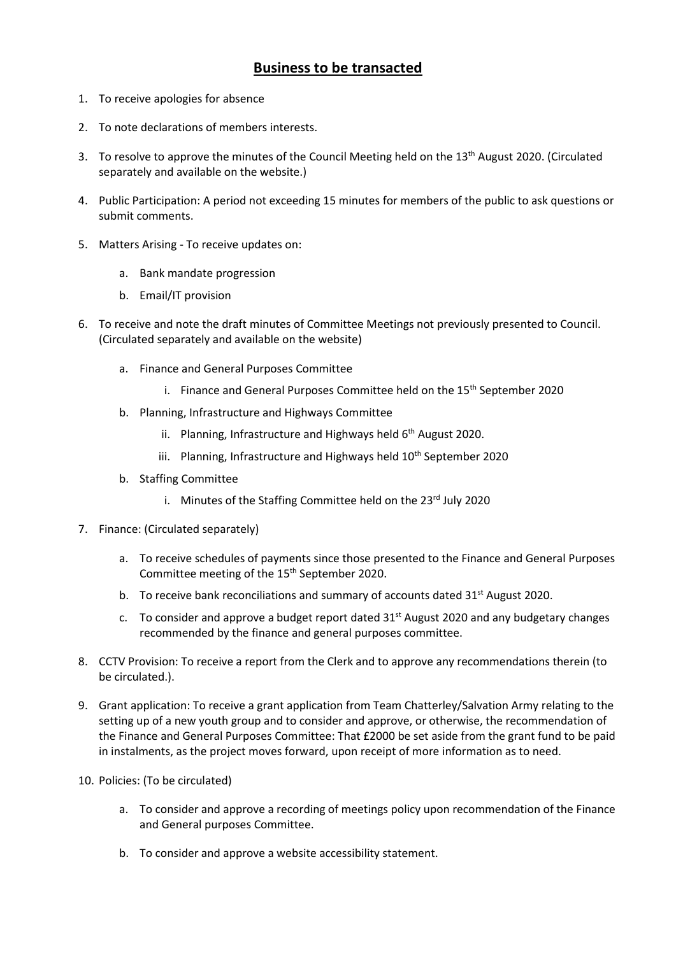## **Business to be transacted**

- 1. To receive apologies for absence
- 2. To note declarations of members interests.
- 3. To resolve to approve the minutes of the Council Meeting held on the  $13<sup>th</sup>$  August 2020. (Circulated separately and available on the website.)
- 4. Public Participation: A period not exceeding 15 minutes for members of the public to ask questions or submit comments.
- 5. Matters Arising To receive updates on:
	- a. Bank mandate progression
	- b. Email/IT provision
- 6. To receive and note the draft minutes of Committee Meetings not previously presented to Council. (Circulated separately and available on the website)
	- a. Finance and General Purposes Committee
		- i. Finance and General Purposes Committee held on the  $15<sup>th</sup>$  September 2020
	- b. Planning, Infrastructure and Highways Committee
		- ii. Planning, Infrastructure and Highways held 6<sup>th</sup> August 2020.
		- iii. Planning, Infrastructure and Highways held 10<sup>th</sup> September 2020
	- b. Staffing Committee
		- i. Minutes of the Staffing Committee held on the  $23<sup>rd</sup>$  July 2020
- 7. Finance: (Circulated separately)
	- a. To receive schedules of payments since those presented to the Finance and General Purposes Committee meeting of the 15th September 2020.
	- b. To receive bank reconciliations and summary of accounts dated  $31<sup>st</sup>$  August 2020.
	- c. To consider and approve a budget report dated  $31^{st}$  August 2020 and any budgetary changes recommended by the finance and general purposes committee.
- 8. CCTV Provision: To receive a report from the Clerk and to approve any recommendations therein (to be circulated.).
- 9. Grant application: To receive a grant application from Team Chatterley/Salvation Army relating to the setting up of a new youth group and to consider and approve, or otherwise, the recommendation of the Finance and General Purposes Committee: That £2000 be set aside from the grant fund to be paid in instalments, as the project moves forward, upon receipt of more information as to need.
- 10. Policies: (To be circulated)
	- a. To consider and approve a recording of meetings policy upon recommendation of the Finance and General purposes Committee.
	- b. To consider and approve a website accessibility statement.